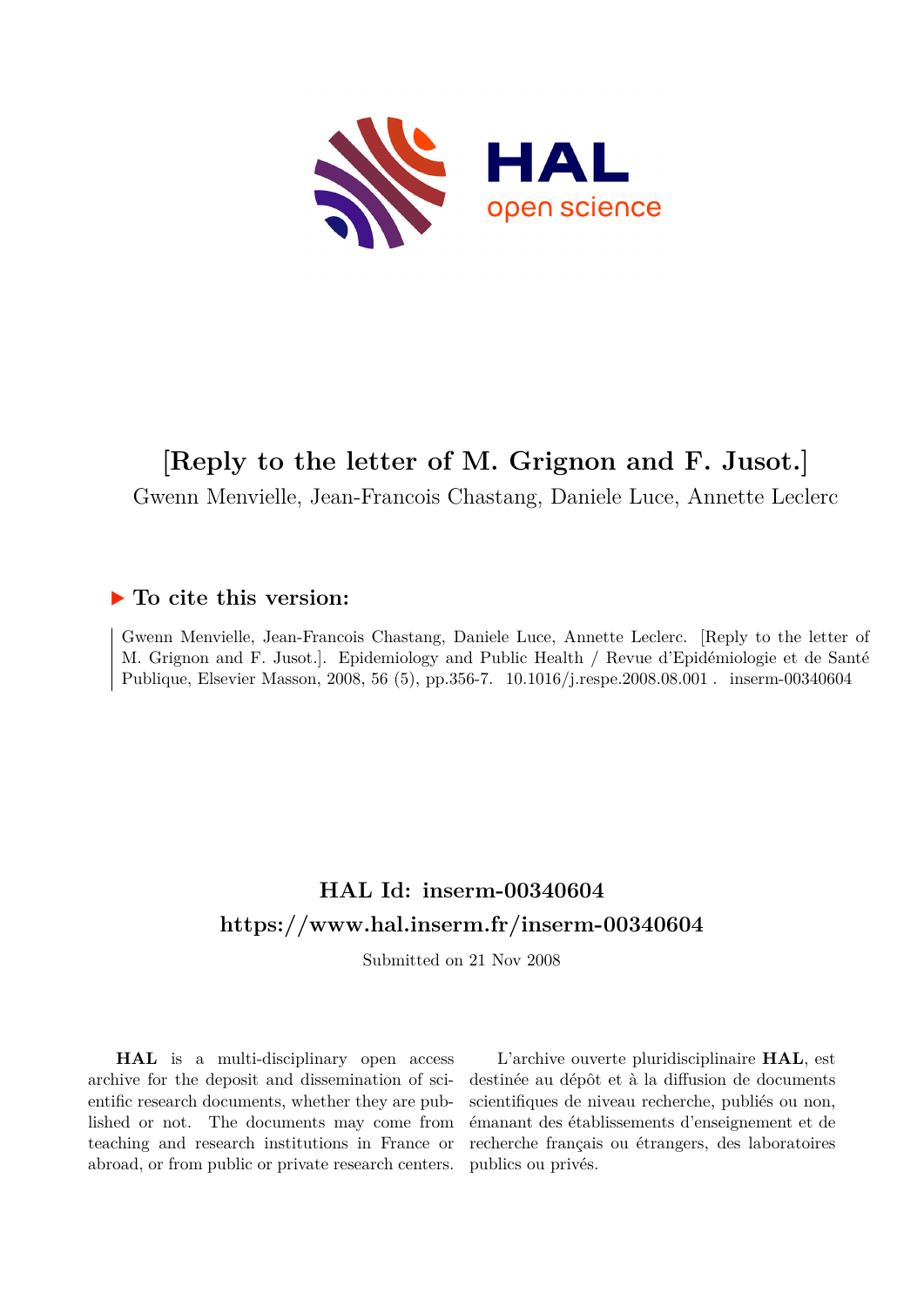

## **[Reply to the letter of M. Grignon and F. Jusot.]**

Gwenn Menvielle, Jean-Francois Chastang, Daniele Luce, Annette Leclerc

## **To cite this version:**

Gwenn Menvielle, Jean-Francois Chastang, Daniele Luce, Annette Leclerc. [Reply to the letter of M. Grignon and F. Jusot.]. Epidemiology and Public Health / Revue d'Epidémiologie et de Santé Publique, Elsevier Masson, 2008, 56 (5), pp.356-7. 10.1016/j.respe.2008.08.001 . inserm-00340604

## **HAL Id: inserm-00340604 <https://www.hal.inserm.fr/inserm-00340604>**

Submitted on 21 Nov 2008

**HAL** is a multi-disciplinary open access archive for the deposit and dissemination of scientific research documents, whether they are published or not. The documents may come from teaching and research institutions in France or abroad, or from public or private research centers.

L'archive ouverte pluridisciplinaire **HAL**, est destinée au dépôt et à la diffusion de documents scientifiques de niveau recherche, publiés ou non, émanant des établissements d'enseignement et de recherche français ou étrangers, des laboratoires publics ou privés.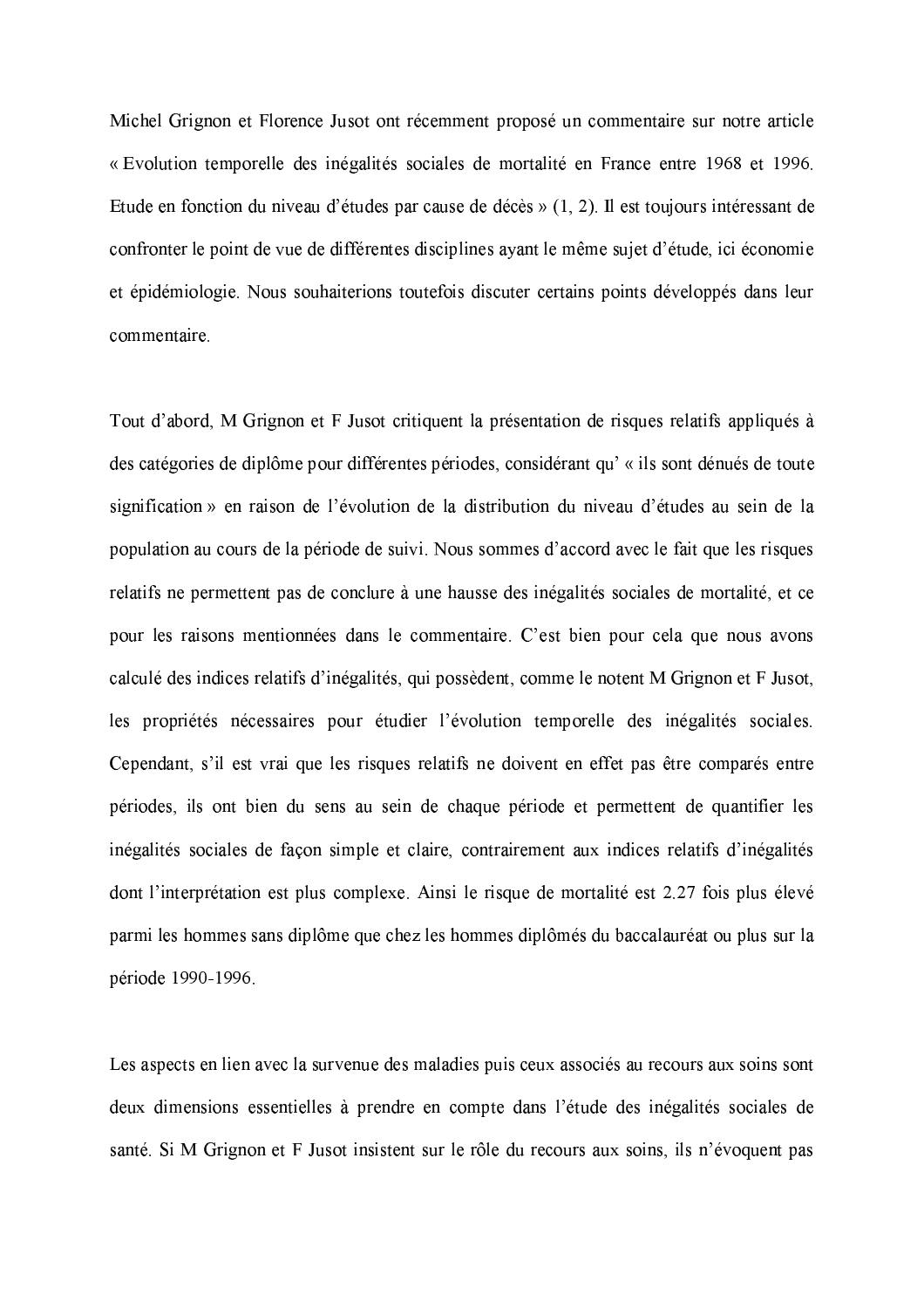Michel Grignon et Florence Jusot ont récemment proposé un commentaire sur notre article « Evolution temporelle des inégalités sociales de mortalité en France entre 1968 et 1996. Etude en fonction du niveau d'études par cause de décès » (1, 2). Il est toujours intéressant de confronter le point de vue de différentes disciplines ayant le même sujet d'étude, ici économie et épidémiologie. Nous souhaiterions toutefois discuter certains points développés dans leur commentaire.

Tout d'abord, M Grignon et F Jusot critiquent la présentation de risques relatifs appliqués à des catégories de diplôme pour différentes périodes, considérant qu' « ils sont dénués de toute signification » en raison de l'évolution de la distribution du niveau d'études au sein de la population au cours de la période de suivi. Nous sommes d'accord avec le fait que les risques relatifs ne permettent pas de conclure à une hausse des inégalités sociales de mortalité, et ce pour les raisons mentionnées dans le commentaire. C'est bien pour cela que nous avons calculé des indices relatifs d'inégalités, qui possèdent, comme le notent M Grignon et F Jusot, les propriétés nécessaires pour étudier l'évolution temporelle des inégalités sociales. Cependant, s'il est vrai que les risques relatifs ne doivent en effet pas être comparés entre périodes, ils ont bien du sens au sein de chaque période et permettent de quantifier les inégalités sociales de façon simple et claire, contrairement aux indices relatifs d'inégalités dont l'interprétation est plus complexe. Ainsi le risque de mortalité est 2.27 fois plus élevé parmi les hommes sans diplôme que chez les hommes diplômés du baccalauréat ou plus sur la période 1990-1996.

Les aspects en lien avec la survenue des maladies puis ceux associés au recours aux soins sont deux dimensions essentielles à prendre en compte dans l'étude des inégalités sociales de santé. Si M Grignon et F Jusot insistent sur le rôle du recours aux soins, ils n'évoquent pas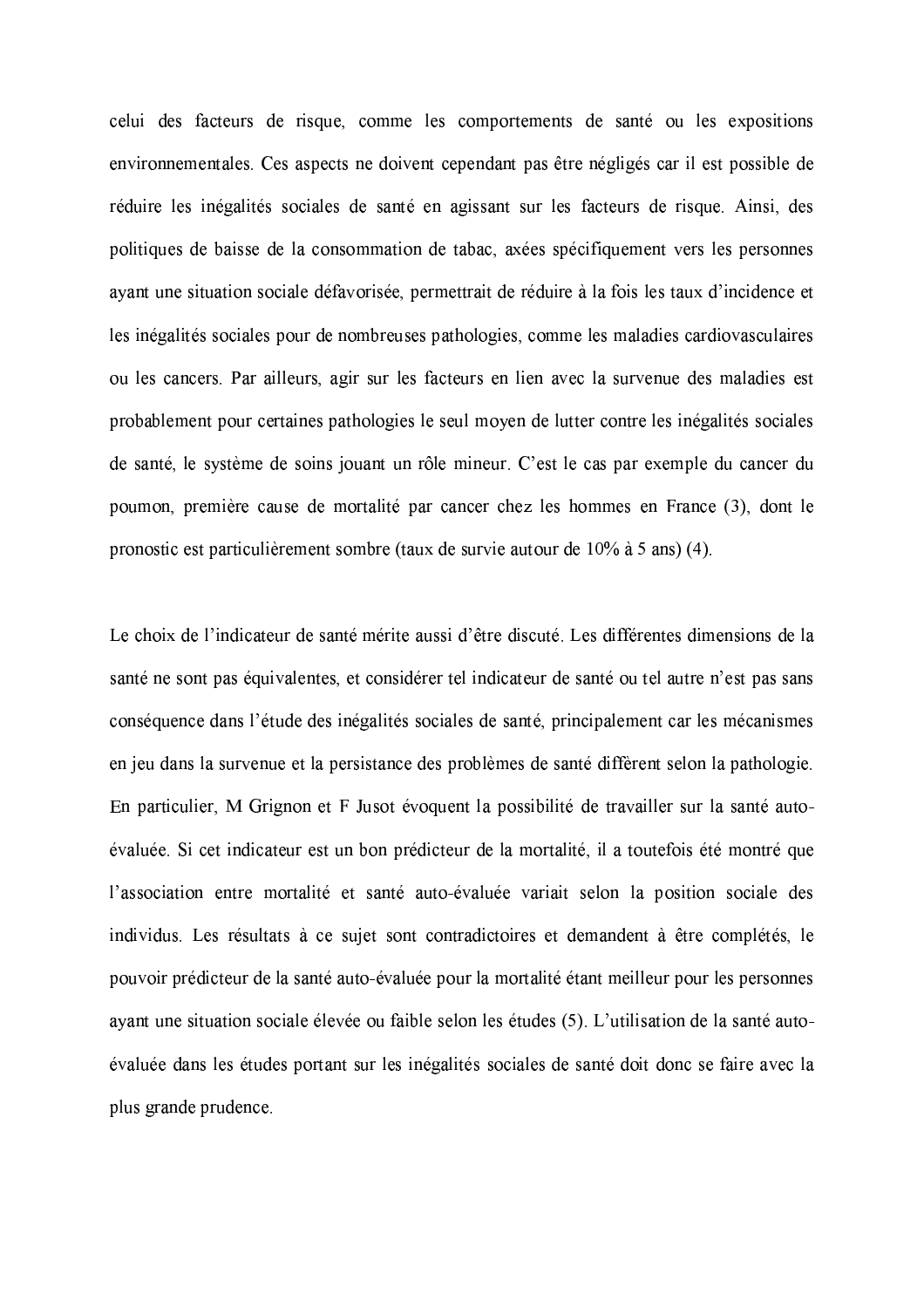celui des facteurs de risque, comme les comportements de santé ou les expositions environnementales. Ces aspects ne doivent cependant pas être négligés car il est possible de réduire les inégalités sociales de santé en agissant sur les facteurs de risque. Ainsi, des politiques de baisse de la consommation de tabac, axées spécifiquement vers les personnes ayant une situation sociale défavorisée, permettrait de réduire à la fois les taux d'incidence et les inégalités sociales pour de nombreuses pathologies, comme les maladies cardiovasculaires ou les cancers. Par ailleurs, agir sur les facteurs en lien avec la survenue des maladies est probablement pour certaines pathologies le seul moyen de lutter contre les inégalités sociales de santé, le système de soins jouant un rôle mineur. C'est le cas par exemple du cancer du poumon, première cause de mortalité par cancer chez les hommes en France (3), dont le pronostic est particulièrement sombre (taux de survie autour de 10% à 5 ans) (4).

Le choix de l'indicateur de santé mérite aussi d'être discuté. Les différentes dimensions de la santé ne sont pas équivalentes, et considérer tel indicateur de santé ou tel autre n'est pas sans conséquence dans l'étude des inégalités sociales de santé, principalement car les mécanismes en jeu dans la survenue et la persistance des problèmes de santé diffèrent selon la pathologie. En particulier, M Grignon et F Jusot évoquent la possibilité de travailler sur la santé autoévaluée. Si cet indicateur est un bon prédicteur de la mortalité, il a toutefois été montré que l'association entre mortalité et santé auto-évaluée variait selon la position sociale des individus. Les résultats à ce sujet sont contradictoires et demandent à être complétés, le pouvoir prédicteur de la santé auto-évaluée pour la mortalité étant meilleur pour les personnes ayant une situation sociale élevée ou faible selon les études (5). L'utilisation de la santé autoévaluée dans les études portant sur les inégalités sociales de santé doit donc se faire avec la plus grande prudence.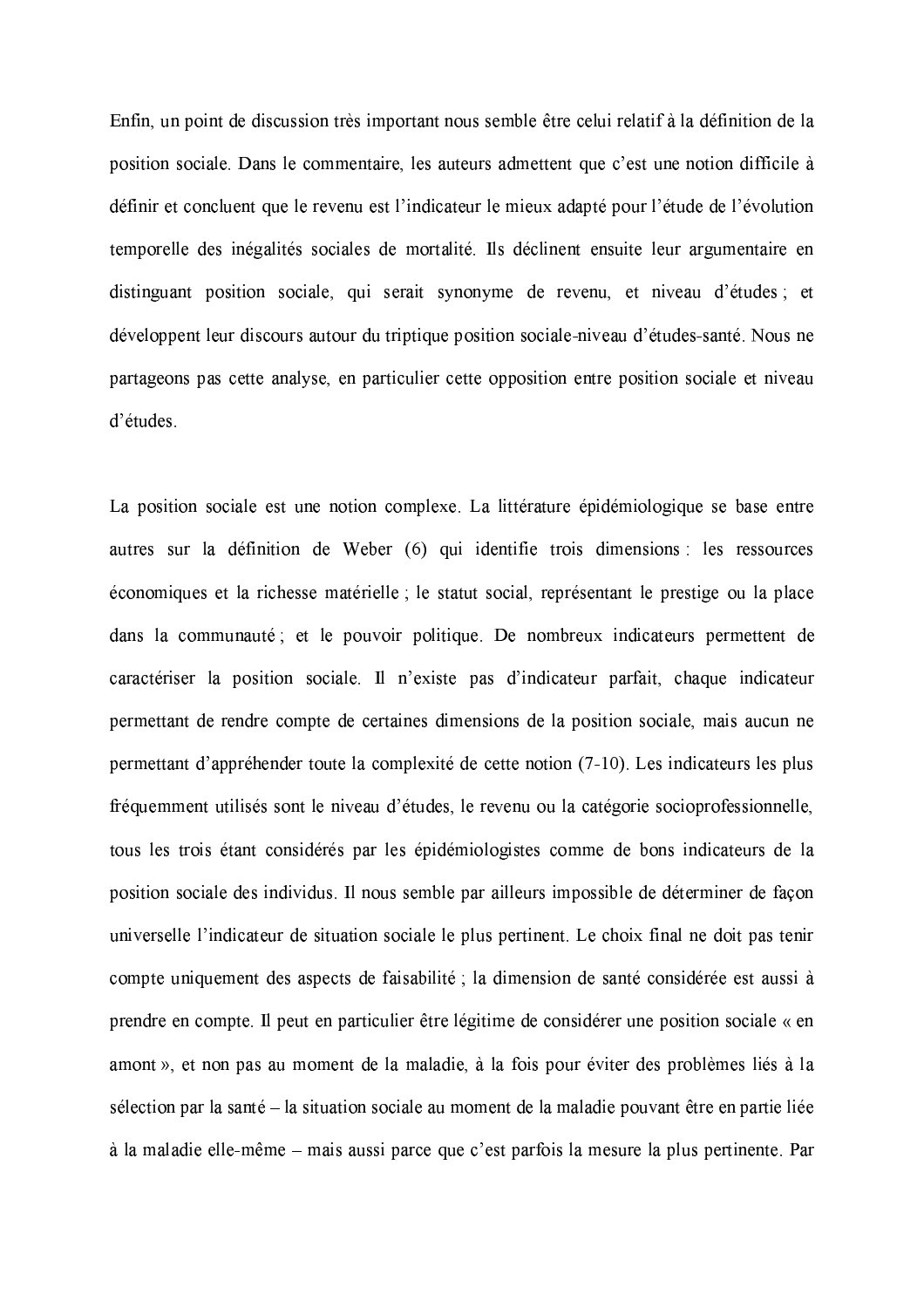Enfin, un point de discussion très important nous semble être celui relatif à la définition de la position sociale. Dans le commentaire, les auteurs admettent que c'est une notion difficile à définir et concluent que le revenu est l'indicateur le mieux adapté pour l'étude de l'évolution temporelle des inégalités sociales de mortalité. Ils déclinent ensuite leur argumentaire en distinguant position sociale, qui serait synonyme de revenu, et niveau d'études; et développent leur discours autour du triptique position sociale-niveau d'études-santé. Nous ne partageons pas cette analyse, en particulier cette opposition entre position sociale et niveau d'études.

La position sociale est une notion complexe. La littérature épidémiologique se base entre autres sur la définition de Weber (6) qui identifie trois dimensions les ressources économiques et la richesse matérielle; le statut social, représentant le prestige ou la place dans la communauté ; et le pouvoir politique. De nombreux indicateurs permettent de caractériser la position sociale. Il n'existe pas d'indicateur parfait, chaque indicateur permettant de rendre compte de certaines dimensions de la position sociale, mais aucun ne permettant d'appréhender toute la complexité de cette notion (7-10). Les indicateurs les plus fréquemment utilisés sont le niveau d'études, le revenu ou la catégorie socioprofessionnelle, tous les trois étant considérés par les épidémiologistes comme de bons indicateurs de la position sociale des individus. Il nous semble par ailleurs impossible de déterminer de facon universelle l'indicateur de situation sociale le plus pertinent. Le choix final ne doit pas tenir compte uniquement des aspects de faisabilité ; la dimension de santé considérée est aussi à prendre en compte. Il peut en particulier être légitime de considérer une position sociale « en amont », et non pas au moment de la maladie, à la fois pour éviter des problèmes liés à la sélection par la santé – la situation sociale au moment de la maladie pouvant être en partie liée à la maladie elle-même – mais aussi parce que c'est parfois la mesure la plus pertinente. Par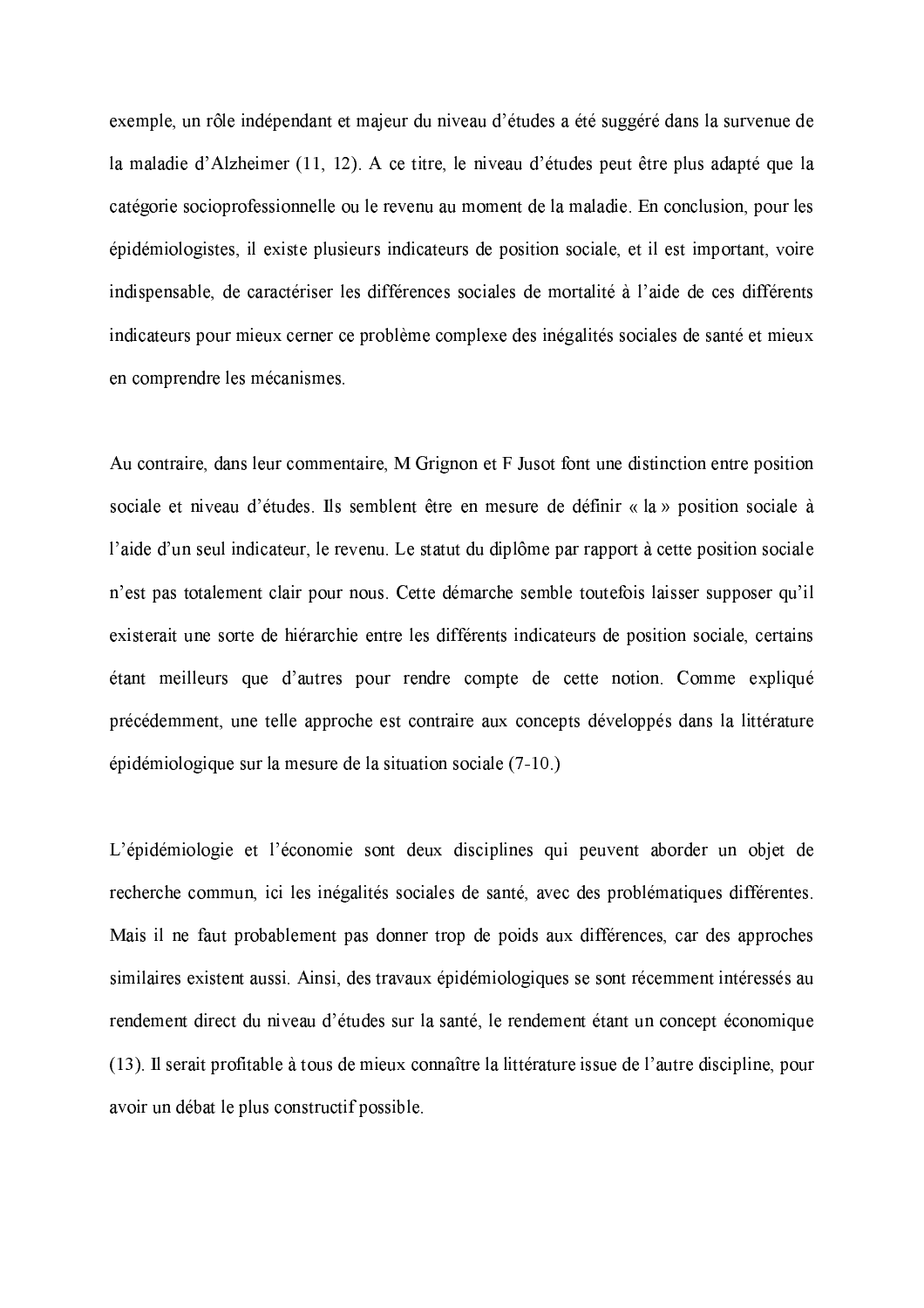exemple, un rôle indépendant et majeur du niveau d'études a été suggéré dans la survenue de la maladie d'Alzheimer (11, 12). A ce titre, le niveau d'études peut être plus adapté que la catégorie socioprofessionnelle ou le revenu au moment de la maladie. En conclusion, pour les épidémiologistes, il existe plusieurs indicateurs de position sociale, et il est important, voire indispensable, de caractériser les différences sociales de mortalité à l'aide de ces différents indicateurs pour mieux cerner ce problème complexe des inégalités sociales de santé et mieux en comprendre les mécanismes.

Au contraire, dans leur commentaire, M Grignon et F Jusot font une distinction entre position sociale et niveau d'études. Ils semblent être en mesure de définir « la » position sociale à l'aide d'un seul indicateur, le revenu. Le statut du diplôme par rapport à cette position sociale n'est pas totalement clair pour nous. Cette démarche semble toutefois laisser supposer qu'il existerait une sorte de hiérarchie entre les différents indicateurs de position sociale, certains étant meilleurs que d'autres pour rendre compte de cette notion. Comme expliqué précédemment, une telle approche est contraire aux concepts développés dans la littérature épidémiologique sur la mesure de la situation sociale (7-10)

L'épidémiologie et l'économie sont deux disciplines qui peuvent aborder un objet de recherche commun, ici les inégalités sociales de santé, avec des problématiques différentes. Mais il ne faut probablement pas donner trop de poids aux différences, car des approches similaires existent aussi. Ainsi, des travaux épidémiologiques se sont récemment intéressés au rendement direct du niveau d'études sur la santé, le rendement étant un concept économique (13). Il serait profitable à tous de mieux connaître la littérature issue de l'autre discipline, pour avoir un débat le plus constructif possible.